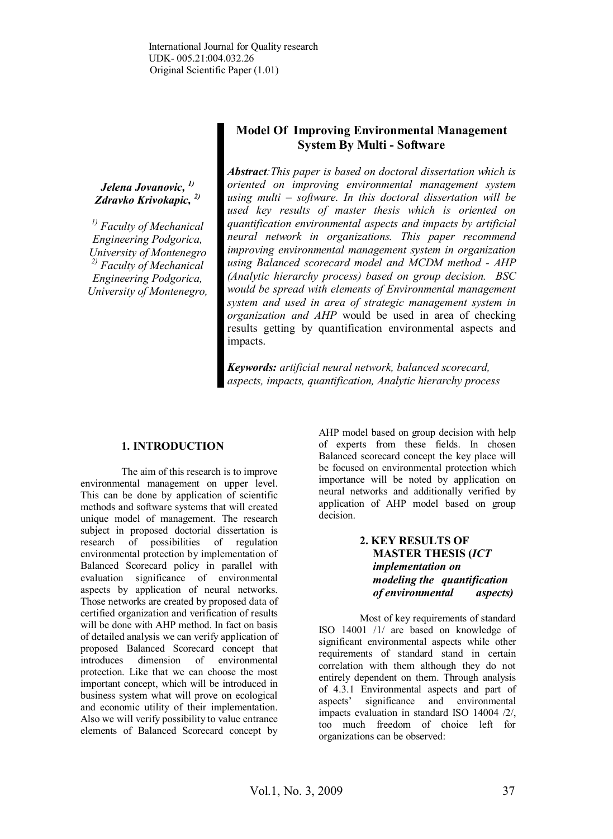*Jelena Jovanovic, 1) Zdravko Krivokapic, 2)*

*1) Faculty of Mechanical Engineering Podgorica, University of Montenegro 2) Faculty of Mechanical Engineering Podgorica, University of Montenegro,*

# **Model Of Improving Environmental Management System By Multi - Software**

*Abstract:This paper is based on doctoral dissertation which is oriented on improving environmental management system using multi – software. In this doctoral dissertation will be used key results of master thesis which is oriented on quantification environmental aspects and impacts by artificial neural network in organizations. This paper recommend improving environmental management system in organization using Balanced scorecard model and MCDM method - AHP (Analytic hierarchy process) based on group decision. BSC would be spread with elements of Environmental management system and used in area of strategic management system in organization and AHP* would be used in area of checking results getting by quantification environmental aspects and impacts.

*Keywords: artificial neural network, balanced scorecard, aspects, impacts, quantification, Analytic hierarchy process*

## **1. INTRODUCTION**

The aim of this research is to improve environmental management on upper level. This can be done by application of scientific methods and software systems that will created unique model of management. The research subject in proposed doctorial dissertation is research of possibilities of regulation environmental protection by implementation of Balanced Scorecard policy in parallel with evaluation significance of environmental aspects by application of neural networks. Those networks are created by proposed data of certified organization and verification of results will be done with AHP method. In fact on basis of detailed analysis we can verify application of proposed Balanced Scorecard concept that introduces dimension of environmental protection. Like that we can choose the most important concept, which will be introduced in business system what will prove on ecological and economic utility of their implementation. Also we will verify possibility to value entrance elements of Balanced Scorecard concept by

AHP model based on group decision with help of experts from these fields. In chosen Balanced scorecard concept the key place will be focused on environmental protection which importance will be noted by application on neural networks and additionally verified by application of AHP model based on group decision.

## **2. KEY RESULTS OF MASTER THESIS (***ICT implementation on modeling the quantification of environmental aspects)*

Most of key requirements of standard ISO 14001 /1/ are based on knowledge of significant environmental aspects while other requirements of standard stand in certain correlation with them although they do not entirely dependent on them. Through analysis of 4.3.1 Environmental aspects and part of aspects' significance and environmental significance and environmental impacts evaluation in standard ISO 14004 /2/, too much freedom of choice left for organizations can be observed: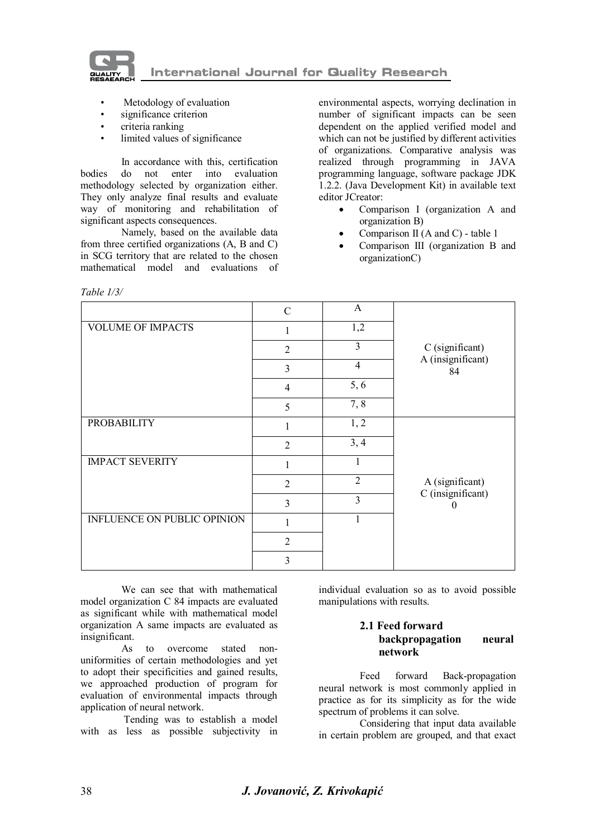

- Metodology of evaluation
- significance criterion
- criteria ranking
- limited values of significance

In accordance with this, certification bodies do not enter into evaluation methodology selected by organization either. They only analyze final results and evaluate way of monitoring and rehabilitation of significant aspects consequences.

Namely, based on the available data from three certified organizations (A, B and C) in SCG territory that are related to the chosen mathematical model and evaluations of

*Table 1/3/*

environmental aspects, worrying declination in number of significant impacts can be seen dependent on the applied verified model and which can not be justified by different activities of organizations. Comparative analysis was realized through programming in JAVA programming language, software package JDK 1.2.2. (Java Development Kit) in available text editor JCreator:

- Comparison I (organization A and organization B)
- Comparison II (A and C) table 1
- Comparison III (organization B and organizationC)

|                             | C                           | A              |                         |
|-----------------------------|-----------------------------|----------------|-------------------------|
| <b>VOLUME OF IMPACTS</b>    | 1                           | 1,2            |                         |
|                             | $\mathcal{D}_{\mathcal{L}}$ | 3              | C (significant)         |
|                             | 3                           | $\overline{4}$ | A (insignificant)<br>84 |
|                             | $\overline{4}$              | 5, 6           |                         |
|                             | 5                           | 7,8            |                         |
| <b>PROBABILITY</b>          |                             | 1, 2           |                         |
|                             | $\overline{2}$              | 3, 4           |                         |
| <b>IMPACT SEVERITY</b>      |                             |                |                         |
|                             | $\mathfrak{D}$              | $\overline{2}$ | A (significant)         |
|                             | 3                           | 3              | C (insignificant)       |
| INFLUENCE ON PUBLIC OPINION |                             |                |                         |
|                             | $\overline{2}$              |                |                         |
|                             | 3                           |                |                         |

We can see that with mathematical model organization C 84 impacts are evaluated as significant while with mathematical model organization A same impacts are evaluated as insignificant.

As to overcome stated nonuniformities of certain methodologies and yet to adopt their specificities and gained results, we approached production of program for evaluation of environmental impacts through application of neural network.

 Tending was to establish a model with as less as possible subjectivity in

individual evaluation so as to avoid possible manipulations with results.

### **2.1 Feed forward backpropagation neural network**

Feed forward Back-propagation neural network is most commonly applied in practice as for its simplicity as for the wide spectrum of problems it can solve.

Considering that input data available in certain problem are grouped, and that exact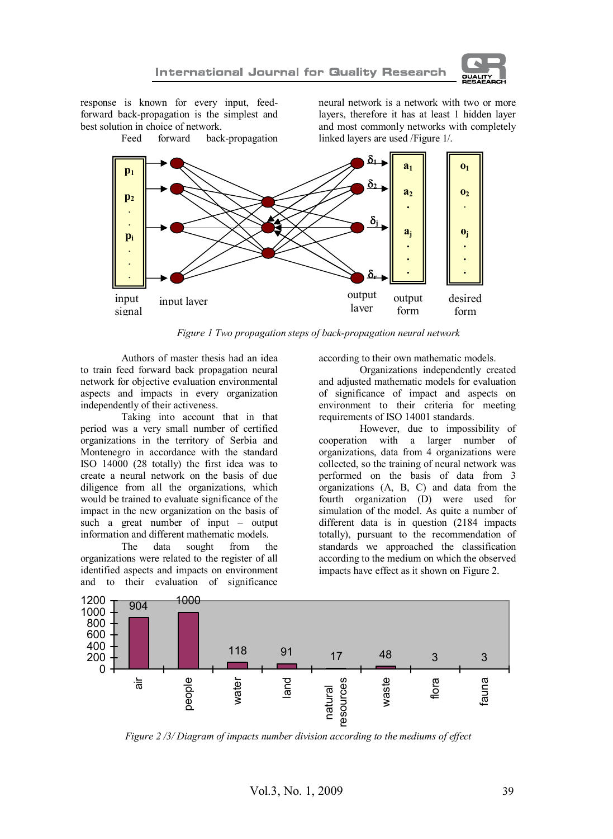

response is known for every input, feedforward back-propagation is the simplest and best solution in choice of network.<br>Feed forward back back-propagation neural network is a network with two or more layers, therefore it has at least 1 hidden layer and most commonly networks with completely linked layers are used /Figure 1/.



*Figure 1 Two propagation steps of back-propagation neural network*

Authors of master thesis had an idea to train feed forward back propagation neural network for objective evaluation environmental aspects and impacts in every organization independently of their activeness.

Taking into account that in that period was a very small number of certified organizations in the territory of Serbia and Montenegro in accordance with the standard ISO 14000 (28 totally) the first idea was to create a neural network on the basis of due diligence from all the organizations, which would be trained to evaluate significance of the impact in the new organization on the basis of such a great number of input – output information and different mathematic models.<br>The data sought from the

sought organizations were related to the register of all identified aspects and impacts on environment and to their evaluation of significance according to their own mathematic models.

Organizations independently created and adjusted mathematic models for evaluation of significance of impact and aspects on environment to their criteria for meeting requirements of ISO 14001 standards.

However, due to impossibility of cooperation with a larger number of organizations, data from 4 organizations were collected, so the training of neural network was performed on the basis of data from 3 organizations (A, B, C) and data from the fourth organization (D) were used for simulation of the model. As quite a number of different data is in question (2184 impacts totally), pursuant to the recommendation of standards we approached the classification according to the medium on which the observed impacts have effect as it shown on Figure 2.



*Figure 2 /3/ Diagram of impacts number division according to the mediums of effect*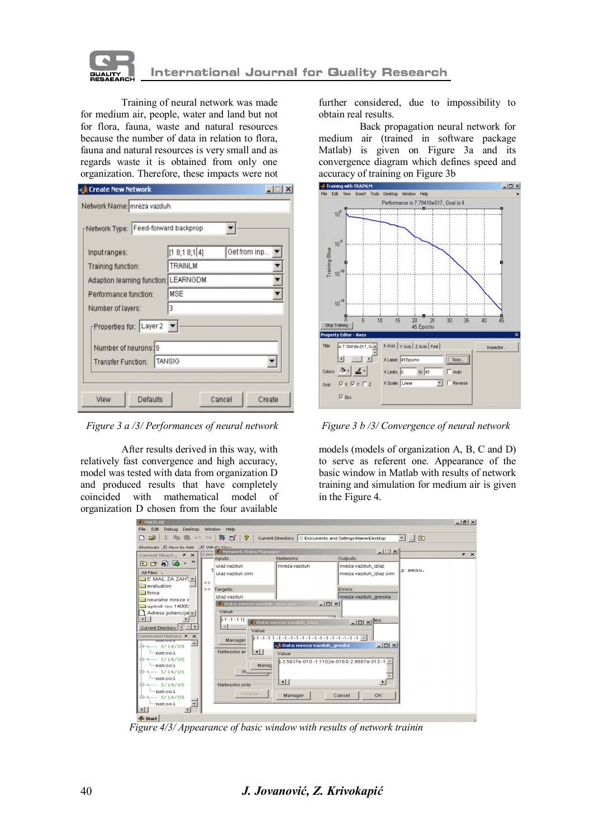

Training of neural network was made for medium air, people, water and land but not for flora, fauna, waste and natural resources because the number of data in relation to flora, fauna and natural resources is very small and as regards waste it is obtained from only one organization. Therefore, these impacts were not

| Network Type: Feed-forward backprop  |                 |              |
|--------------------------------------|-----------------|--------------|
| Input ranges:                        | [1 8; 1 8; 1 4] | Get from inp |
| Training function:                   | TRAINLM         |              |
| Adaption learning function: LEARNGDM |                 |              |
| Performance function:                | MSE             |              |
| Number of layers:                    | 3               |              |
| Properties for: Layer 2              |                 |              |
| Number of neurons: 9                 |                 |              |
| <b>Transfer Function:</b>            | <b>TANSIG</b>   |              |

*Figure 3 a /3/ Performances of neural network Figure 3 b /3/ Convergence of neural network*

After results derived in this way, with relatively fast convergence and high accuracy, model was tested with data from organization D and produced results that have completely coincided with mathematical model of organization D chosen from the four available

further considered, due to impossibility to obtain real results.

Back propagation neural network for medium air (trained in software package Matlab) is given on Figure 3a and its convergence diagram which defines speed and accuracy of training on Figure 3b



models (models of organization A, B, C and D) to serve as referent one. Appearance of the basic window in Matlab with results of network training and simulation for medium air is given in the Figure 4.

| $- B $ $\times$ |
|-----------------|
|                 |
| $* x$           |
|                 |
|                 |

 *Figure 4/3/ Appearance of basic window with results of network trainin*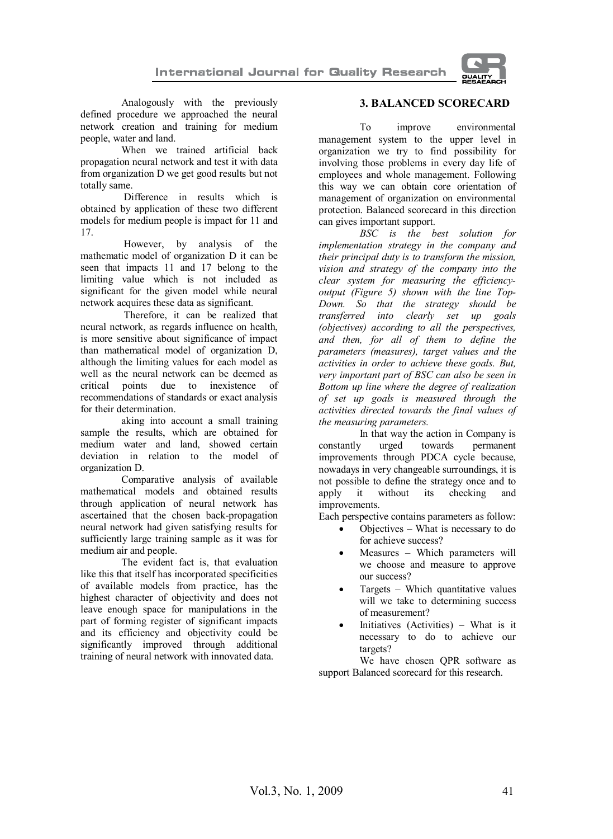

Analogously with the previously defined procedure we approached the neural network creation and training for medium people, water and land.

When we trained artificial back propagation neural network and test it with data from organization D we get good results but not totally same.

 Difference in results which is obtained by application of these two different models for medium people is impact for 11 and 17.

 However, by analysis of the mathematic model of organization D it can be seen that impacts 11 and 17 belong to the limiting value which is not included as significant for the given model while neural network acquires these data as significant.

 Therefore, it can be realized that neural network, as regards influence on health, is more sensitive about significance of impact than mathematical model of organization D, although the limiting values for each model as well as the neural network can be deemed as critical points due to inexistence of recommendations of standards or exact analysis for their determination.

aking into account a small training sample the results, which are obtained for medium water and land, showed certain deviation in relation to the model of organization D.

Comparative analysis of available mathematical models and obtained results through application of neural network has ascertained that the chosen back-propagation neural network had given satisfying results for sufficiently large training sample as it was for medium air and people.

The evident fact is, that evaluation like this that itself has incorporated specificities of available models from practice, has the highest character of objectivity and does not leave enough space for manipulations in the part of forming register of significant impacts and its efficiency and objectivity could be significantly improved through additional training of neural network with innovated data.

## **3. BALANCED SCORECARD**

To improve environmental management system to the upper level in organization we try to find possibility for involving those problems in every day life of employees and whole management. Following this way we can obtain core orientation of management of organization on environmental protection. Balanced scorecard in this direction can gives important support.

*BSC is the best solution for implementation strategy in the company and their principal duty is to transform the mission, vision and strategy of the company into the clear system for measuring the efficiencyoutput (Figure 5) shown with the line Top-Down. So that the strategy should be transferred into clearly set up goals (objectives) according to all the perspectives, and then, for all of them to define the parameters (measures), target values and the activities in order to achieve these goals. But, very important part of BSC can also be seen in Bottom up line where the degree of realization of set up goals is measured through the activities directed towards the final values of the measuring parameters.*

In that way the action in Company is<br>  $\frac{1}{x}$  urged towards permanent constantly improvements through PDCA cycle because, nowadays in very changeable surroundings, it is not possible to define the strategy once and to<br>apply it without its checking and checking and improvements.

Each perspective contains parameters as follow:

- Objectives What is necessary to do for achieve success?
- Measures Which parameters will we choose and measure to approve our success?
- Targets Which quantitative values will we take to determining success of measurement?
- Initiatives (Activities) What is it necessary to do to achieve our targets?

We have chosen QPR software as support Balanced scorecard for this research.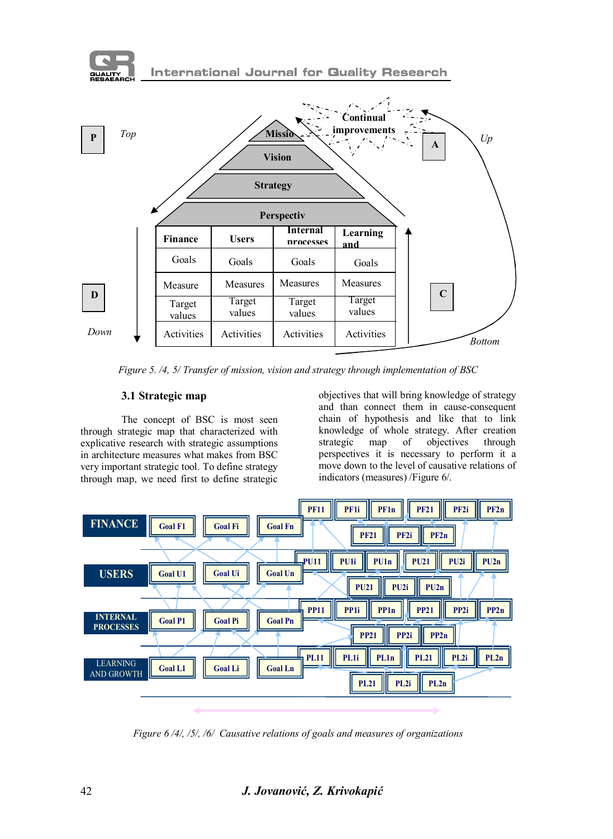

*Figure 5. /4, 5/ Transfer of mission, vision and strategy through implementation of BSC*

## **3.1 Strategic map**

The concept of BSC is most seen through strategic map that characterized with explicative research with strategic assumptions in architecture measures what makes from BSC very important strategic tool. To define strategy through map, we need first to define strategic objectives that will bring knowledge of strategy and than connect them in cause-consequent chain of hypothesis and like that to link knowledge of whole strategy. After creation strategic map of objectives through perspectives it is necessary to perform it a move down to the level of causative relations of indicators (measures) /Figure 6/.



*Figure 6 /4/, /5/, /6/ Causative relations of goals and measures of organizations*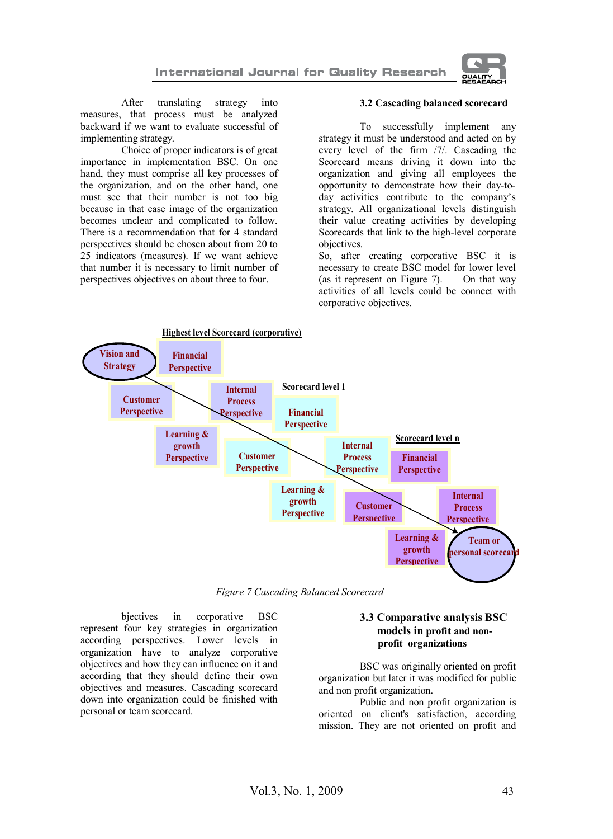

After translating strategy into measures, that process must be analyzed backward if we want to evaluate successful of implementing strategy.

Choice of proper indicators is of great importance in implementation BSC. On one hand, they must comprise all key processes of the organization, and on the other hand, one must see that their number is not too big because in that case image of the organization becomes unclear and complicated to follow. There is a recommendation that for 4 standard perspectives should be chosen about from 20 to 25 indicators (measures). If we want achieve that number it is necessary to limit number of perspectives objectives on about three to four.

#### **3.2 Cascading balanced scorecard**

To successfully implement any strategy it must be understood and acted on by every level of the firm /7/. Cascading the Scorecard means driving it down into the organization and giving all employees the opportunity to demonstrate how their day-today activities contribute to the company's strategy. All organizational levels distinguish their value creating activities by developing Scorecards that link to the high-level corporate objectives.

So, after creating corporative BSC it is necessary to create BSC model for lower level<br>(as it represent on Figure 7). On that way (as it represent on Figure  $7$ ). activities of all levels could be connect with corporative objectives.



*Figure 7 Cascading Balanced Scorecard*

bjectives in corporative BSC represent four key strategies in organization according perspectives. Lower levels in organization have to analyze corporative objectives and how they can influence on it and according that they should define their own objectives and measures. Cascading scorecard down into organization could be finished with personal or team scorecard.

### **3.3 Comparative analysis BSC models in profit and non profit organizations**

BSC was originally oriented on profit organization but later it was modified for public and non profit organization.

Public and non profit organization is oriented on client's satisfaction, according mission. They are not oriented on profit and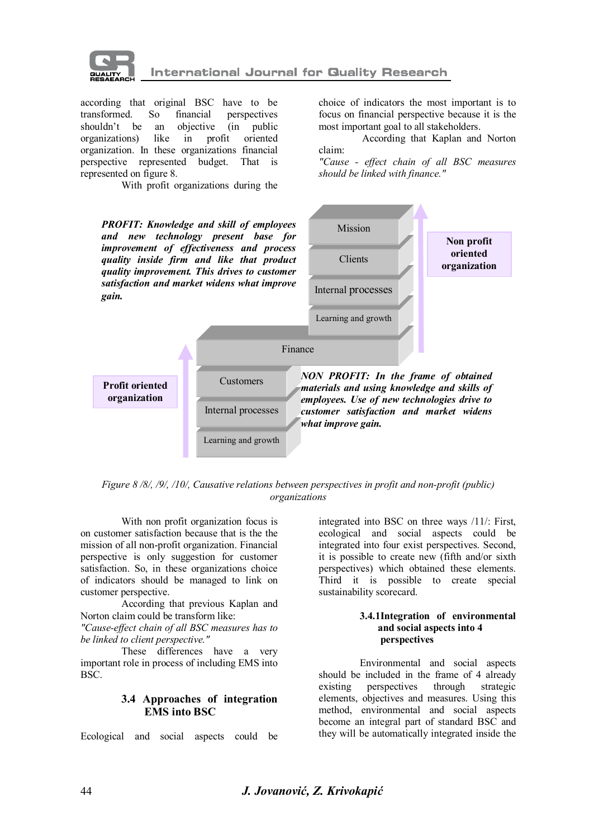

according that original BSC have to be transformed. So financial perspectives transformed. So financial perspectives<br>shouldn't be an objective (in public an objective (in public<br>like in profit oriented organizations) organization. In these organizations financial perspective represented budget. That is represented on figure 8.

With profit organizations during the

choice of indicators the most important is to focus on financial perspective because it is the most important goal to all stakeholders.

 According that Kaplan and Norton claim:

*"Cause - effect chain of all BSC measures should be linked with finance."*



*Figure 8 /8/, /9/, /10/, Causative relations between perspectives in profit and non-profit (public) organizations*

With non profit organization focus is on customer satisfaction because that is the the mission of all non-profit organization. Financial perspective is only suggestion for customer satisfaction. So, in these organizations choice of indicators should be managed to link on customer perspective.

According that previous Kaplan and Norton claim could be transform like:

*"Cause-effect chain of all BSC measures has to be linked to client perspective."*

These differences have a very important role in process of including EMS into BSC.

### **3.4 Approaches of integration EMS into BSC**

Ecological and social aspects could be

integrated into BSC on three ways /11/: First, ecological and social aspects could be integrated into four exist perspectives. Second, it is possible to create new (fifth and/or sixth perspectives) which obtained these elements. Third it is possible to create special sustainability scorecard.

#### **3.4.1Integration of environmental and social aspects into 4 perspectives**

Environmental and social aspects should be included in the frame of 4 already<br>existing perspectives through strategic perspectives through strategic elements, objectives and measures. Using this method, environmental and social aspects become an integral part of standard BSC and they will be automatically integrated inside the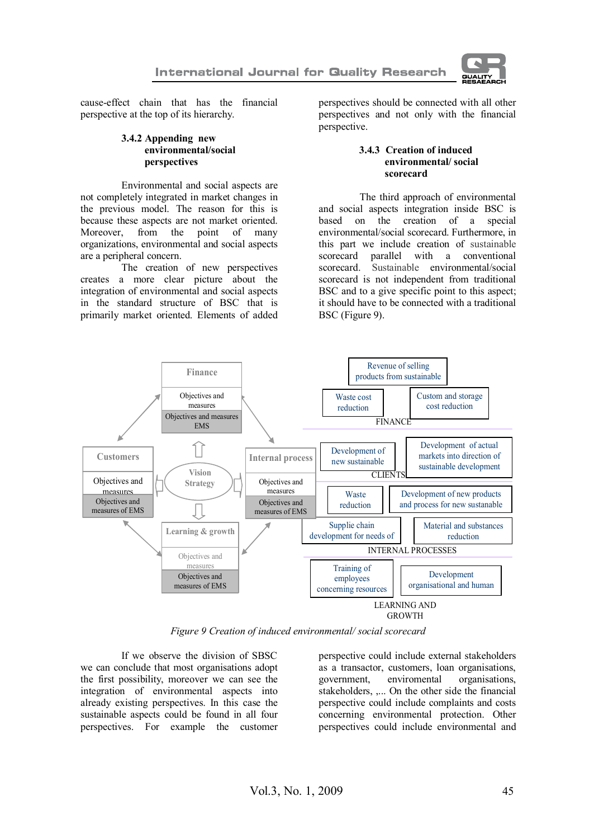

cause-effect chain that has the financial perspective at the top of its hierarchy.

### **3.4.2 Appending new environmental/social perspectives**

Environmental and social aspects are not completely integrated in market changes in the previous model. The reason for this is because these aspects are not market oriented. Moreover, from the point of many organizations, environmental and social aspects are a peripheral concern.

The creation of new perspectives creates a more clear picture about the integration of environmental and social aspects in the standard structure of BSC that is primarily market oriented. Elements of added

perspectives should be connected with all other perspectives and not only with the financial perspective.

#### **3.4.3 Creation of induced environmental/ social scorecard**

 The third approach of environmental and social aspects integration inside BSC is based on the creation of a special environmental/social scorecard. Furthermore, in this part we include creation of sustainable scorecard parallel with a conventional scorecard. Sustainable environmental/social scorecard is not independent from traditional BSC and to a give specific point to this aspect; it should have to be connected with a traditional BSC (Figure 9).



*Figure 9 Creation of induced environmental/ social scorecard*

If we observe the division of SBSC we can conclude that most organisations adopt the first possibility, moreover we can see the integration of environmental aspects into already existing perspectives. In this case the sustainable aspects could be found in all four perspectives. For example the customer

perspective could include external stakeholders as a transactor, customers, loan organisations, government, enviromental organisations, stakeholders, ,... On the other side the financial perspective could include complaints and costs concerning environmental protection. Other perspectives could include environmental and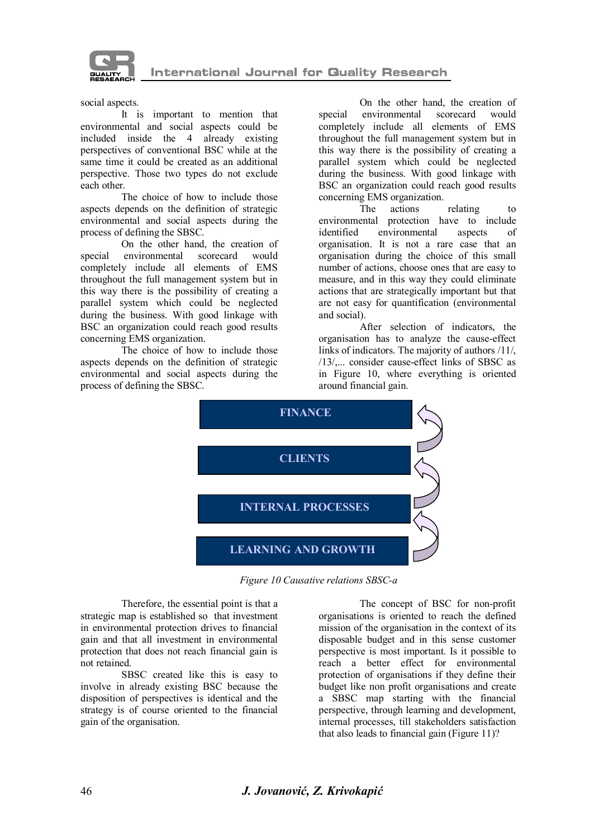

social aspects.

It is important to mention that environmental and social aspects could be included inside the 4 already existing perspectives of conventional BSC while at the same time it could be created as an additional perspective. Those two types do not exclude each other.

The choice of how to include those aspects depends on the definition of strategic environmental and social aspects during the process of defining the SBSC.

On the other hand, the creation of special environmental scorecard would completely include all elements of EMS throughout the full management system but in this way there is the possibility of creating a parallel system which could be neglected during the business. With good linkage with BSC an organization could reach good results concerning EMS organization.

The choice of how to include those aspects depends on the definition of strategic environmental and social aspects during the process of defining the SBSC.

On the other hand, the creation of<br>environmental scorecard would special environmental scorecard would completely include all elements of EMS throughout the full management system but in this way there is the possibility of creating a parallel system which could be neglected during the business. With good linkage with BSC an organization could reach good results concerning EMS organization.

actions relating to environmental protection have to include identified environmental aspects of organisation. It is not a rare case that an organisation during the choice of this small number of actions, choose ones that are easy to measure, and in this way they could eliminate actions that are strategically important but that are not easy for quantification (environmental and social).

After selection of indicators, the organisation has to analyze the cause-effect links of indicators. The majority of authors /11/, /13/,... consider cause-effect links of SBSC as in Figure 10, where everything is oriented around financial gain.



*Figure 10 Causative relations SBSC-a*

Therefore, the essential point is that a strategic map is established so that investment in environmental protection drives to financial gain and that all investment in environmental protection that does not reach financial gain is not retained.

SBSC created like this is easy to involve in already existing BSC because the disposition of perspectives is identical and the strategy is of course oriented to the financial gain of the organisation.

The concept of BSC for non-profit organisations is oriented to reach the defined mission of the organisation in the context of its disposable budget and in this sense customer perspective is most important. Is it possible to reach a better effect for environmental protection of organisations if they define their budget like non profit organisations and create a SBSC map starting with the financial perspective, through learning and development, internal processes, till stakeholders satisfaction that also leads to financial gain (Figure 11)?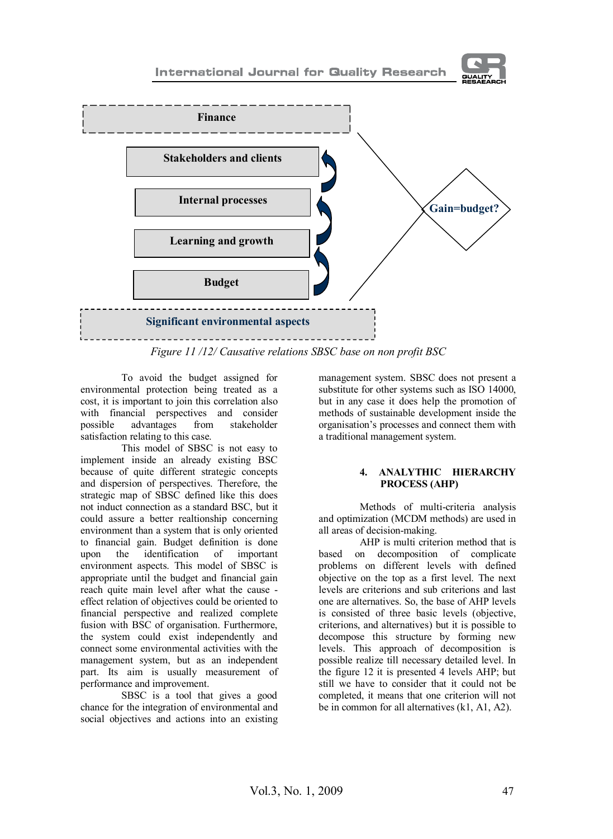



*Figure 11 /12/ Causative relations SBSC base on non profit BSC*

To avoid the budget assigned for environmental protection being treated as a cost, it is important to join this correlation also with financial perspectives and consider possible advantages from stakeholder satisfaction relating to this case.

This model of SBSC is not easy to implement inside an already existing BSC because of quite different strategic concepts and dispersion of perspectives. Therefore, the strategic map of SBSC defined like this does not induct connection as a standard BSC, but it could assure a better realtionship concerning environment than a system that is only oriented to financial gain. Budget definition is done upon the identification of environment aspects. This model of SBSC is appropriate until the budget and financial gain reach quite main level after what the cause effect relation of objectives could be oriented to financial perspective and realized complete fusion with BSC of organisation. Furthermore, the system could exist independently and connect some environmental activities with the management system, but as an independent part. Its aim is usually measurement of performance and improvement.

SBSC is a tool that gives a good chance for the integration of environmental and social objectives and actions into an existing

management system. SBSC does not present a substitute for other systems such as ISO 14000, but in any case it does help the promotion of methods of sustainable development inside the organisation's processes and connect them with a traditional management system.

### **4. ANALYTHIC HIERARCHY PROCESS (AHP)**

Methods of multi-criteria analysis and optimization (MCDM methods) are used in all areas of decision-making.

AHP is multi criterion method that is based on decomposition of complicate problems on different levels with defined objective on the top as a first level. The next levels are criterions and sub criterions and last one are alternatives. So, the base of AHP levels is consisted of three basic levels (objective, criterions, and alternatives) but it is possible to decompose this structure by forming new levels. This approach of decomposition is possible realize till necessary detailed level. In the figure 12 it is presented 4 levels AHP; but still we have to consider that it could not be completed, it means that one criterion will not be in common for all alternatives (k1, A1, A2).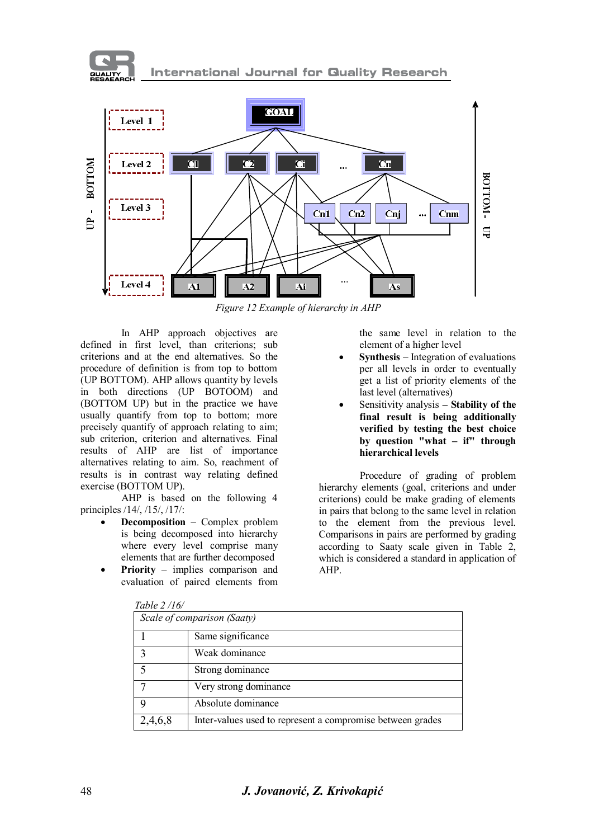



*Figure 12 Example of hierarchy in AHP*

In AHP approach objectives are defined in first level, than criterions; sub criterions and at the end alternatives. So the procedure of definition is from top to bottom (UP BOTTOM). AHP allows quantity by levels in both directions (UP BOTOOM) and (BOTTOM UP) but in the practice we have usually quantify from top to bottom; more precisely quantify of approach relating to aim; sub criterion, criterion and alternatives. Final results of AHP are list of importance alternatives relating to aim. So, reachment of results is in contrast way relating defined exercise (BOTTOM UP).

AHP is based on the following 4 principles /14/, /15/, /17/:

- **Decomposition** Complex problem is being decomposed into hierarchy where every level comprise many elements that are further decomposed
- **Priority** implies comparison and evaluation of paired elements from

the same level in relation to the element of a higher level

- **Synthesis** Integration of evaluations per all levels in order to eventually get a list of priority elements of the last level (alternatives)
- Sensitivity analysis Stability of the **final result is being additionally verified by testing the best choice by question "what – if" through hierarchical levels**

Procedure of grading of problem hierarchy elements (goal, criterions and under criterions) could be make grading of elements in pairs that belong to the same level in relation to the element from the previous level. Comparisons in pairs are performed by grading according to Saaty scale given in Table 2, which is considered a standard in application of AHP.

| 1 UU IU <i>4 1</i> 1 V/ |                                                            |
|-------------------------|------------------------------------------------------------|
|                         | Scale of comparison (Saaty)                                |
|                         | Same significance                                          |
|                         | Weak dominance                                             |
|                         | Strong dominance                                           |
|                         | Very strong dominance                                      |
|                         | Absolute dominance                                         |
| 2,4,6,8                 | Inter-values used to represent a compromise between grades |

| Table 2/16/ |
|-------------|
|             |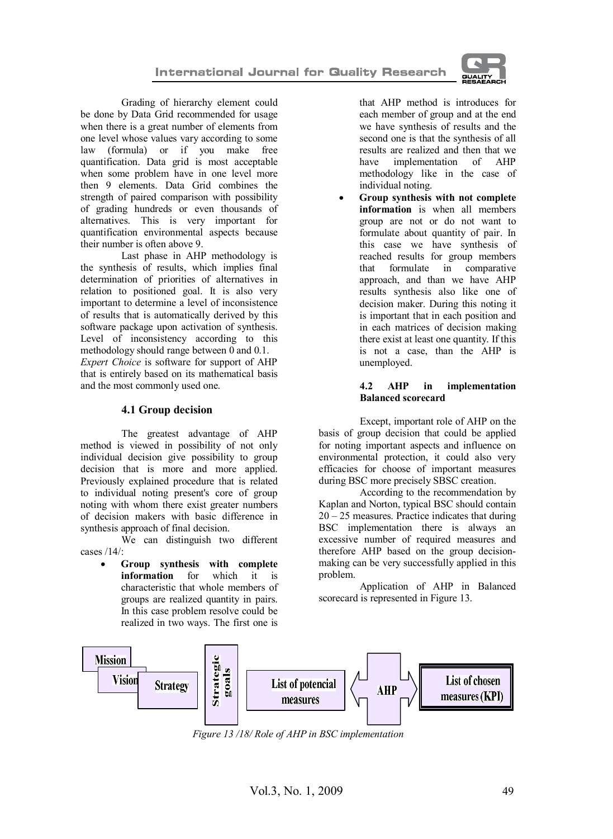

Grading of hierarchy element could be done by Data Grid recommended for usage when there is a great number of elements from one level whose values vary according to some law (formula) or if you make free quantification. Data grid is most acceptable when some problem have in one level more then 9 elements. Data Grid combines the strength of paired comparison with possibility of grading hundreds or even thousands of alternatives. This is very important for quantification environmental aspects because their number is often above 9.

Last phase in AHP methodology is the synthesis of results, which implies final determination of priorities of alternatives in relation to positioned goal. It is also very important to determine a level of inconsistence of results that is automatically derived by this software package upon activation of synthesis. Level of inconsistency according to this methodology should range between 0 and 0.1. *Expert Choice* is software for support of AHP that is entirely based on its mathematical basis and the most commonly used one.

## **4.1 Group decision**

The greatest advantage of AHP method is viewed in possibility of not only individual decision give possibility to group decision that is more and more applied. Previously explained procedure that is related to individual noting present's core of group noting with whom there exist greater numbers of decision makers with basic difference in synthesis approach of final decision.

We can distinguish two different cases /14/:

> Group synthesis with complete **information** for which it is characteristic that whole members of groups are realized quantity in pairs. In this case problem resolve could be realized in two ways. The first one is

that AHP method is introduces for each member of group and at the end we have synthesis of results and the second one is that the synthesis of all results are realized and then that we have implementation of AHP methodology like in the case of individual noting.

· **Group synthesis with not complete information** is when all members group are not or do not want to formulate about quantity of pair. In this case we have synthesis of reached results for group members that formulate in comparative approach, and than we have AHP results synthesis also like one of decision maker. During this noting it is important that in each position and in each matrices of decision making there exist at least one quantity. If this is not a case, than the AHP is unemployed.

### **4.2 AHP in implementation Balanced scorecard**

Except, important role of AHP on the basis of group decision that could be applied for noting important aspects and influence on environmental protection, it could also very efficacies for choose of important measures during BSC more precisely SBSC creation.

According to the recommendation by Kaplan and Norton, typical BSC should contain  $20 - 25$  measures. Practice indicates that during BSC implementation there is always an excessive number of required measures and therefore AHP based on the group decisionmaking can be very successfully applied in this problem.

Application of AHP in Balanced scorecard is represented in Figure 13.



*Figure 13 /18/ Role of AHP in BSC implementation*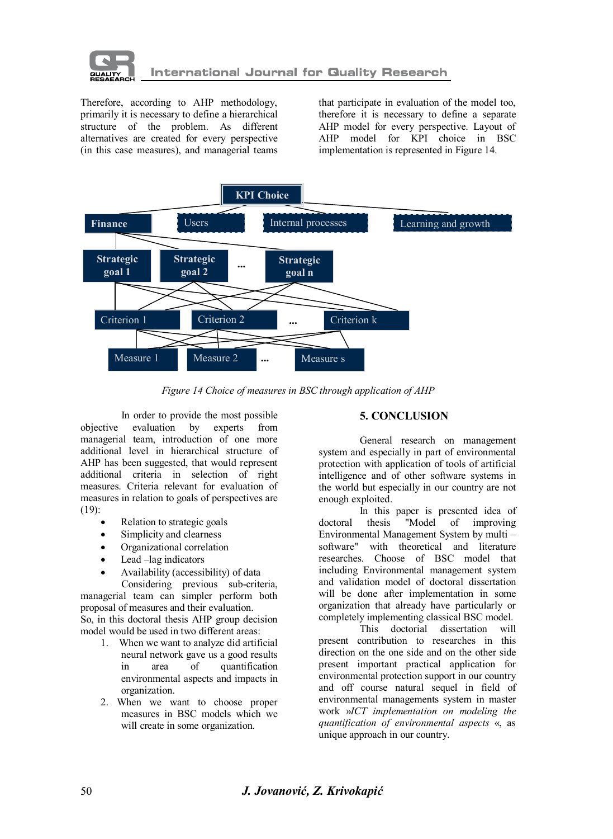

Therefore, according to AHP methodology, primarily it is necessary to define a hierarchical structure of the problem. As different alternatives are created for every perspective (in this case measures), and managerial teams that participate in evaluation of the model too, therefore it is necessary to define a separate AHP model for every perspective. Layout of AHP model for KPI choice in BSC implementation is represented in Figure 14.



*Figure 14 Choice of measures in BSC through application of AHP*

In order to provide the most possible<br>evaluation by experts from objective evaluation by experts from managerial team, introduction of one more additional level in hierarchical structure of AHP has been suggested, that would represent additional criteria in selection of right measures. Criteria relevant for evaluation of measures in relation to goals of perspectives are (19):

- Relation to strategic goals
- Simplicity and clearness
- · Organizational correlation
- Lead -lag indicators
- · Availability (accessibility) of data

Considering previous sub-criteria, managerial team can simpler perform both proposal of measures and their evaluation.

So, in this doctoral thesis AHP group decision model would be used in two different areas:

- 1. When we want to analyze did artificial neural network gave us a good results in area of quantification environmental aspects and impacts in organization.
- 2. When we want to choose proper measures in BSC models which we will create in some organization.

## **5. CONCLUSION**

General research on management system and especially in part of environmental protection with application of tools of artificial intelligence and of other software systems in the world but especially in our country are not enough exploited.

In this paper is presented idea of<br>thesis "Model of improving doctoral thesis "Model of improving Environmental Management System by multi – software" with theoretical and literature researches. Choose of BSC model that including Environmental management system and validation model of doctoral dissertation will be done after implementation in some organization that already have particularly or completely implementing classical BSC model.

dissertation will present contribution to researches in this direction on the one side and on the other side present important practical application for environmental protection support in our country and off course natural sequel in field of environmental managements system in master work »*ICT implementation on modeling the quantification of environmental aspects* «, as unique approach in our country.